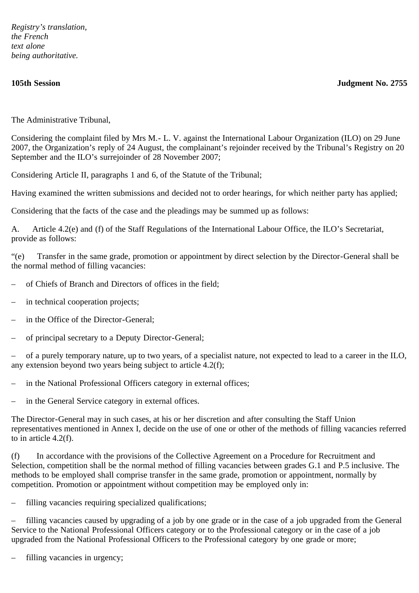*Registry's translation, the French text alone being authoritative.*

**105th Session Judgment No. 2755**

The Administrative Tribunal,

Considering the complaint filed by Mrs M.- L. V. against the International Labour Organization (ILO) on 29 June 2007, the Organization's reply of 24 August, the complainant's rejoinder received by the Tribunal's Registry on 20 September and the ILO's surrejoinder of 28 November 2007;

Considering Article II, paragraphs 1 and 6, of the Statute of the Tribunal;

Having examined the written submissions and decided not to order hearings, for which neither party has applied;

Considering that the facts of the case and the pleadings may be summed up as follows:

A. Article 4.2(e) and (f) of the Staff Regulations of the International Labour Office, the ILO's Secretariat, provide as follows:

"(e) Transfer in the same grade, promotion or appointment by direct selection by the Director-General shall be the normal method of filling vacancies:

- of Chiefs of Branch and Directors of offices in the field;
- in technical cooperation projects;
- in the Office of the Director-General;
- of principal secretary to a Deputy Director-General;

– of a purely temporary nature, up to two years, of a specialist nature, not expected to lead to a career in the ILO, any extension beyond two years being subject to article 4.2(f);

- in the National Professional Officers category in external offices;
- in the General Service category in external offices.

The Director-General may in such cases, at his or her discretion and after consulting the Staff Union representatives mentioned in Annex I, decide on the use of one or other of the methods of filling vacancies referred to in article 4.2(f).

(f) In accordance with the provisions of the Collective Agreement on a Procedure for Recruitment and Selection, competition shall be the normal method of filling vacancies between grades G.1 and P.5 inclusive. The methods to be employed shall comprise transfer in the same grade, promotion or appointment, normally by competition. Promotion or appointment without competition may be employed only in:

– filling vacancies requiring specialized qualifications;

– filling vacancies caused by upgrading of a job by one grade or in the case of a job upgraded from the General Service to the National Professional Officers category or to the Professional category or in the case of a job upgraded from the National Professional Officers to the Professional category by one grade or more;

filling vacancies in urgency;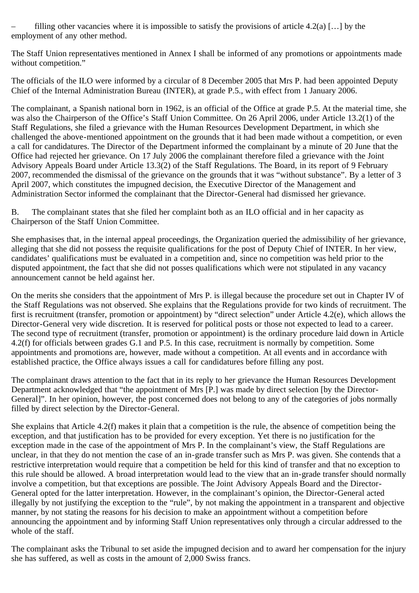filling other vacancies where it is impossible to satisfy the provisions of article 4.2(a) [...] by the employment of any other method.

The Staff Union representatives mentioned in Annex I shall be informed of any promotions or appointments made without competition."

The officials of the ILO were informed by a circular of 8 December 2005 that Mrs P. had been appointed Deputy Chief of the Internal Administration Bureau (INTER), at grade P.5., with effect from 1 January 2006.

The complainant, a Spanish national born in 1962, is an official of the Office at grade P.5. At the material time, she was also the Chairperson of the Office's Staff Union Committee. On 26 April 2006, under Article 13.2(1) of the Staff Regulations, she filed a grievance with the Human Resources Development Department, in which she challenged the above-mentioned appointment on the grounds that it had been made without a competition, or even a call for candidatures. The Director of the Department informed the complainant by a minute of 20 June that the Office had rejected her grievance. On 17 July 2006 the complainant therefore filed a grievance with the Joint Advisory Appeals Board under Article 13.3(2) of the Staff Regulations. The Board, in its report of 9 February 2007, recommended the dismissal of the grievance on the grounds that it was "without substance". By a letter of 3 April 2007, which constitutes the impugned decision, the Executive Director of the Management and Administration Sector informed the complainant that the Director-General had dismissed her grievance.

B. The complainant states that she filed her complaint both as an ILO official and in her capacity as Chairperson of the Staff Union Committee.

She emphasises that, in the internal appeal proceedings, the Organization queried the admissibility of her grievance, alleging that she did not possess the requisite qualifications for the post of Deputy Chief of INTER. In her view, candidates' qualifications must be evaluated in a competition and, since no competition was held prior to the disputed appointment, the fact that she did not posses qualifications which were not stipulated in any vacancy announcement cannot be held against her.

On the merits she considers that the appointment of Mrs P. is illegal because the procedure set out in Chapter IV of the Staff Regulations was not observed. She explains that the Regulations provide for two kinds of recruitment. The first is recruitment (transfer, promotion or appointment) by "direct selection" under Article 4.2(e), which allows the Director-General very wide discretion. It is reserved for political posts or those not expected to lead to a career. The second type of recruitment (transfer, promotion or appointment) is the ordinary procedure laid down in Article 4.2(f) for officials between grades G.1 and P.5. In this case, recruitment is normally by competition. Some appointments and promotions are, however, made without a competition. At all events and in accordance with established practice, the Office always issues a call for candidatures before filling any post.

The complainant draws attention to the fact that in its reply to her grievance the Human Resources Development Department acknowledged that "the appointment of Mrs [P.] was made by direct selection [by the Director-General]". In her opinion, however, the post concerned does not belong to any of the categories of jobs normally filled by direct selection by the Director-General.

She explains that Article 4.2(f) makes it plain that a competition is the rule, the absence of competition being the exception, and that justification has to be provided for every exception. Yet there is no justification for the exception made in the case of the appointment of Mrs P. In the complainant's view, the Staff Regulations are unclear, in that they do not mention the case of an in-grade transfer such as Mrs P. was given. She contends that a restrictive interpretation would require that a competition be held for this kind of transfer and that no exception to this rule should be allowed. A broad interpretation would lead to the view that an in-grade transfer should normally involve a competition, but that exceptions are possible. The Joint Advisory Appeals Board and the Director-General opted for the latter interpretation. However, in the complainant's opinion, the Director-General acted illegally by not justifying the exception to the "rule", by not making the appointment in a transparent and objective manner, by not stating the reasons for his decision to make an appointment without a competition before announcing the appointment and by informing Staff Union representatives only through a circular addressed to the whole of the staff.

The complainant asks the Tribunal to set aside the impugned decision and to award her compensation for the injury she has suffered, as well as costs in the amount of 2,000 Swiss francs.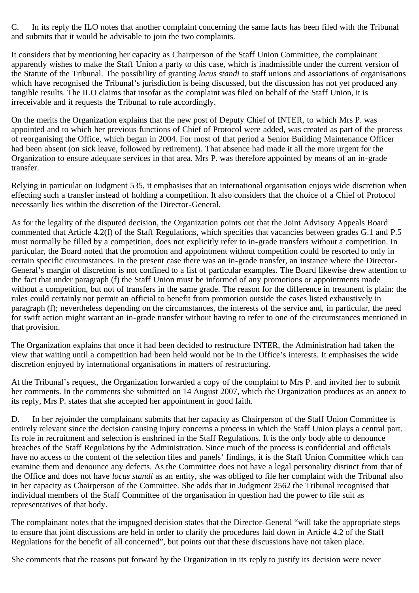C. In its reply the ILO notes that another complaint concerning the same facts has been filed with the Tribunal and submits that it would be advisable to join the two complaints.

It considers that by mentioning her capacity as Chairperson of the Staff Union Committee, the complainant apparently wishes to make the Staff Union a party to this case, which is inadmissible under the current version of the Statute of the Tribunal. The possibility of granting *locus standi* to staff unions and associations of organisations which have recognised the Tribunal's jurisdiction is being discussed, but the discussion has not yet produced any tangible results. The ILO claims that insofar as the complaint was filed on behalf of the Staff Union, it is irreceivable and it requests the Tribunal to rule accordingly.

On the merits the Organization explains that the new post of Deputy Chief of INTER, to which Mrs P. was appointed and to which her previous functions of Chief of Protocol were added, was created as part of the process of reorganising the Office, which began in 2004. For most of that period a Senior Building Maintenance Officer had been absent (on sick leave, followed by retirement). That absence had made it all the more urgent for the Organization to ensure adequate services in that area. Mrs P. was therefore appointed by means of an in-grade transfer.

Relying in particular on Judgment 535, it emphasises that an international organisation enjoys wide discretion when effecting such a transfer instead of holding a competition. It also considers that the choice of a Chief of Protocol necessarily lies within the discretion of the Director-General.

As for the legality of the disputed decision, the Organization points out that the Joint Advisory Appeals Board commented that Article 4.2(f) of the Staff Regulations, which specifies that vacancies between grades G.1 and P.5 must normally be filled by a competition, does not explicitly refer to in-grade transfers without a competition. In particular, the Board noted that the promotion and appointment without competition could be resorted to only in certain specific circumstances. In the present case there was an in-grade transfer, an instance where the Director-General's margin of discretion is not confined to a list of particular examples. The Board likewise drew attention to the fact that under paragraph (f) the Staff Union must be informed of any promotions or appointments made without a competition, but not of transfers in the same grade. The reason for the difference in treatment is plain: the rules could certainly not permit an official to benefit from promotion outside the cases listed exhaustively in paragraph (f); nevertheless depending on the circumstances, the interests of the service and, in particular, the need for swift action might warrant an in-grade transfer without having to refer to one of the circumstances mentioned in that provision.

The Organization explains that once it had been decided to restructure INTER, the Administration had taken the view that waiting until a competition had been held would not be in the Office's interests. It emphasises the wide discretion enjoyed by international organisations in matters of restructuring.

At the Tribunal's request, the Organization forwarded a copy of the complaint to Mrs P. and invited her to submit her comments. In the comments she submitted on 14 August 2007, which the Organization produces as an annex to its reply, Mrs P. states that she accepted her appointment in good faith.

D. In her rejoinder the complainant submits that her capacity as Chairperson of the Staff Union Committee is entirely relevant since the decision causing injury concerns a process in which the Staff Union plays a central part. Its role in recruitment and selection is enshrined in the Staff Regulations. It is the only body able to denounce breaches of the Staff Regulations by the Administration. Since much of the process is confidential and officials have no access to the content of the selection files and panels' findings, it is the Staff Union Committee which can examine them and denounce any defects. As the Committee does not have a legal personality distinct from that of the Office and does not have *locus standi* as an entity, she was obliged to file her complaint with the Tribunal also in her capacity as Chairperson of the Committee. She adds that in Judgment 2562 the Tribunal recognised that individual members of the Staff Committee of the organisation in question had the power to file suit as representatives of that body.

The complainant notes that the impugned decision states that the Director-General "will take the appropriate steps to ensure that joint discussions are held in order to clarify the procedures laid down in Article 4.2 of the Staff Regulations for the benefit of all concerned", but points out that these discussions have not taken place.

She comments that the reasons put forward by the Organization in its reply to justify its decision were never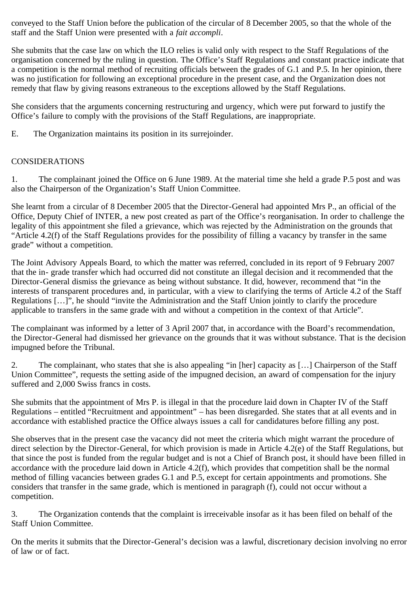conveyed to the Staff Union before the publication of the circular of 8 December 2005, so that the whole of the staff and the Staff Union were presented with a *fait accompli*.

She submits that the case law on which the ILO relies is valid only with respect to the Staff Regulations of the organisation concerned by the ruling in question. The Office's Staff Regulations and constant practice indicate that a competition is the normal method of recruiting officials between the grades of G.1 and P.5. In her opinion, there was no justification for following an exceptional procedure in the present case, and the Organization does not remedy that flaw by giving reasons extraneous to the exceptions allowed by the Staff Regulations.

She considers that the arguments concerning restructuring and urgency, which were put forward to justify the Office's failure to comply with the provisions of the Staff Regulations, are inappropriate.

E. The Organization maintains its position in its surrejoinder.

# CONSIDERATIONS

1. The complainant joined the Office on 6 June 1989. At the material time she held a grade P.5 post and was also the Chairperson of the Organization's Staff Union Committee.

She learnt from a circular of 8 December 2005 that the Director-General had appointed Mrs P., an official of the Office, Deputy Chief of INTER, a new post created as part of the Office's reorganisation. In order to challenge the legality of this appointment she filed a grievance, which was rejected by the Administration on the grounds that "Article 4.2(f) of the Staff Regulations provides for the possibility of filling a vacancy by transfer in the same grade" without a competition.

The Joint Advisory Appeals Board, to which the matter was referred, concluded in its report of 9 February 2007 that the in- grade transfer which had occurred did not constitute an illegal decision and it recommended that the Director-General dismiss the grievance as being without substance. It did, however, recommend that "in the interests of transparent procedures and, in particular, with a view to clarifying the terms of Article 4.2 of the Staff Regulations […]", he should "invite the Administration and the Staff Union jointly to clarify the procedure applicable to transfers in the same grade with and without a competition in the context of that Article".

The complainant was informed by a letter of 3 April 2007 that, in accordance with the Board's recommendation, the Director-General had dismissed her grievance on the grounds that it was without substance. That is the decision impugned before the Tribunal.

2. The complainant, who states that she is also appealing "in [her] capacity as […] Chairperson of the Staff Union Committee", requests the setting aside of the impugned decision, an award of compensation for the injury suffered and 2,000 Swiss francs in costs.

She submits that the appointment of Mrs P. is illegal in that the procedure laid down in Chapter IV of the Staff Regulations – entitled "Recruitment and appointment" – has been disregarded. She states that at all events and in accordance with established practice the Office always issues a call for candidatures before filling any post.

She observes that in the present case the vacancy did not meet the criteria which might warrant the procedure of direct selection by the Director-General, for which provision is made in Article 4.2(e) of the Staff Regulations, but that since the post is funded from the regular budget and is not a Chief of Branch post, it should have been filled in accordance with the procedure laid down in Article 4.2(f), which provides that competition shall be the normal method of filling vacancies between grades G.1 and P.5, except for certain appointments and promotions. She considers that transfer in the same grade, which is mentioned in paragraph (f), could not occur without a competition.

3. The Organization contends that the complaint is irreceivable insofar as it has been filed on behalf of the Staff Union Committee.

On the merits it submits that the Director-General's decision was a lawful, discretionary decision involving no error of law or of fact.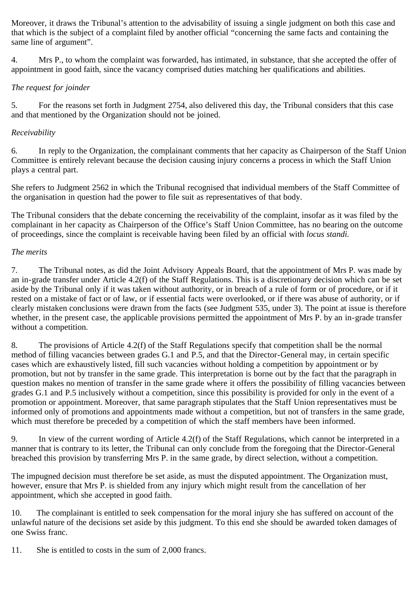Moreover, it draws the Tribunal's attention to the advisability of issuing a single judgment on both this case and that which is the subject of a complaint filed by another official "concerning the same facts and containing the same line of argument".

4. Mrs P., to whom the complaint was forwarded, has intimated, in substance, that she accepted the offer of appointment in good faith, since the vacancy comprised duties matching her qualifications and abilities.

# *The request for joinder*

5. For the reasons set forth in Judgment 2754, also delivered this day, the Tribunal considers that this case and that mentioned by the Organization should not be joined.

# *Receivability*

6. In reply to the Organization, the complainant comments that her capacity as Chairperson of the Staff Union Committee is entirely relevant because the decision causing injury concerns a process in which the Staff Union plays a central part.

She refers to Judgment 2562 in which the Tribunal recognised that individual members of the Staff Committee of the organisation in question had the power to file suit as representatives of that body.

The Tribunal considers that the debate concerning the receivability of the complaint, insofar as it was filed by the complainant in her capacity as Chairperson of the Office's Staff Union Committee, has no bearing on the outcome of proceedings, since the complaint is receivable having been filed by an official with *locus standi.*

#### *The merits*

7. The Tribunal notes, as did the Joint Advisory Appeals Board, that the appointment of Mrs P. was made by an in-grade transfer under Article 4.2(f) of the Staff Regulations. This is a discretionary decision which can be set aside by the Tribunal only if it was taken without authority, or in breach of a rule of form or of procedure, or if it rested on a mistake of fact or of law, or if essential facts were overlooked, or if there was abuse of authority, or if clearly mistaken conclusions were drawn from the facts (see Judgment 535, under 3). The point at issue is therefore whether, in the present case, the applicable provisions permitted the appointment of Mrs P. by an in-grade transfer without a competition.

8. The provisions of Article 4.2(f) of the Staff Regulations specify that competition shall be the normal method of filling vacancies between grades G.1 and P.5, and that the Director-General may, in certain specific cases which are exhaustively listed, fill such vacancies without holding a competition by appointment or by promotion, but not by transfer in the same grade. This interpretation is borne out by the fact that the paragraph in question makes no mention of transfer in the same grade where it offers the possibility of filling vacancies between grades G.1 and P.5 inclusively without a competition, since this possibility is provided for only in the event of a promotion or appointment. Moreover, that same paragraph stipulates that the Staff Union representatives must be informed only of promotions and appointments made without a competition, but not of transfers in the same grade, which must therefore be preceded by a competition of which the staff members have been informed.

9. In view of the current wording of Article 4.2(f) of the Staff Regulations, which cannot be interpreted in a manner that is contrary to its letter, the Tribunal can only conclude from the foregoing that the Director-General breached this provision by transferring Mrs P. in the same grade, by direct selection, without a competition.

The impugned decision must therefore be set aside, as must the disputed appointment. The Organization must, however, ensure that Mrs P. is shielded from any injury which might result from the cancellation of her appointment, which she accepted in good faith.

10. The complainant is entitled to seek compensation for the moral injury she has suffered on account of the unlawful nature of the decisions set aside by this judgment. To this end she should be awarded token damages of one Swiss franc.

11. She is entitled to costs in the sum of 2,000 francs.